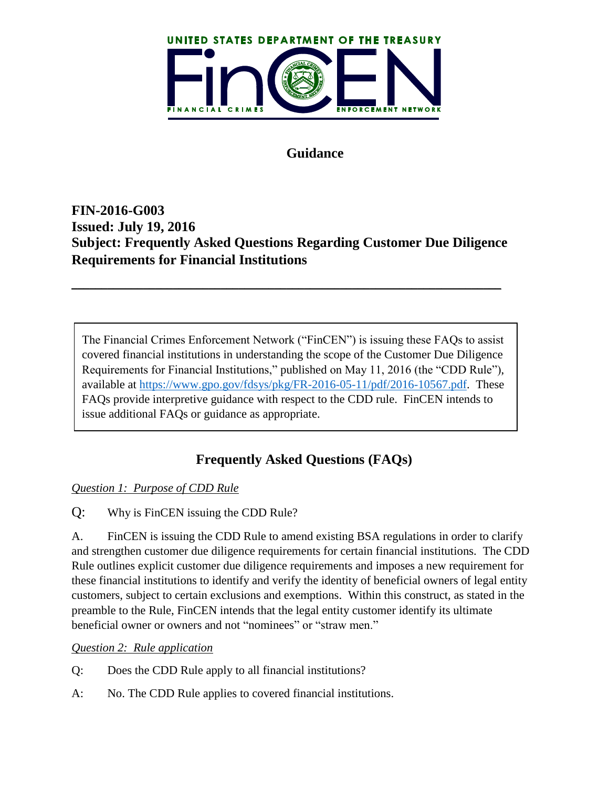

# **Guidance**

# **FIN-2016-G003 Issued: July 19, 2016 Subject: Frequently Asked Questions Regarding Customer Due Diligence Requirements for Financial Institutions**

 $\_$  , and the set of the set of the set of the set of the set of the set of the set of the set of the set of the set of the set of the set of the set of the set of the set of the set of the set of the set of the set of th

The Financial Crimes Enforcement Network ("FinCEN") is issuing these FAQs to assist covered financial institutions in understanding the scope of the Customer Due Diligence Requirements for Financial Institutions," published on May 11, 2016 (the "CDD Rule"), available at [https://www.gpo.gov/fdsys/pkg/FR-2016-05-11/pdf/2016-10567.pdf.](https://www.gpo.gov/fdsys/pkg/FR-2016-05-11/pdf/2016-10567.pdf) These FAQs provide interpretive guidance with respect to the CDD rule. FinCEN intends to issue additional FAQs or guidance as appropriate.

# **Frequently Asked Questions (FAQs)**

*Question 1: Purpose of CDD Rule*

Q: Why is FinCEN issuing the CDD Rule?

A. FinCEN is issuing the CDD Rule to amend existing BSA regulations in order to clarify and strengthen customer due diligence requirements for certain financial institutions. The CDD Rule outlines explicit customer due diligence requirements and imposes a new requirement for these financial institutions to identify and verify the identity of beneficial owners of legal entity customers, subject to certain exclusions and exemptions. Within this construct, as stated in the preamble to the Rule, FinCEN intends that the legal entity customer identify its ultimate beneficial owner or owners and not "nominees" or "straw men."

#### *Question 2: Rule application*

- Q: Does the CDD Rule apply to all financial institutions?
- A: No. The CDD Rule applies to covered financial institutions.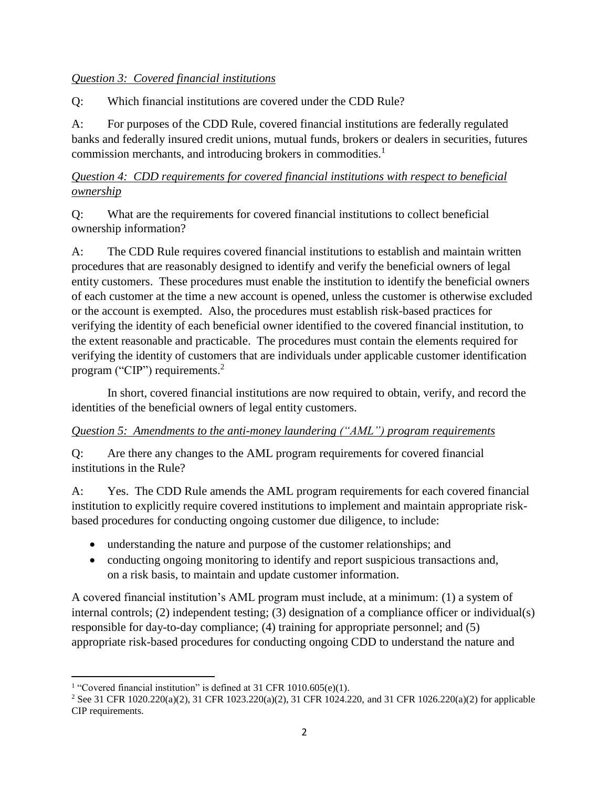#### *Question 3: Covered financial institutions*

Q: Which financial institutions are covered under the CDD Rule?

A: For purposes of the CDD Rule, covered financial institutions are federally regulated banks and federally insured credit unions, mutual funds, brokers or dealers in securities, futures commission merchants, and introducing brokers in commodities.<sup>1</sup>

#### *Question 4: CDD requirements for covered financial institutions with respect to beneficial ownership*

Q: What are the requirements for covered financial institutions to collect beneficial ownership information?

A: The CDD Rule requires covered financial institutions to establish and maintain written procedures that are reasonably designed to identify and verify the beneficial owners of legal entity customers. These procedures must enable the institution to identify the beneficial owners of each customer at the time a new account is opened, unless the customer is otherwise excluded or the account is exempted. Also, the procedures must establish risk-based practices for verifying the identity of each beneficial owner identified to the covered financial institution, to the extent reasonable and practicable. The procedures must contain the elements required for verifying the identity of customers that are individuals under applicable customer identification program ("CIP") requirements. $2$ 

In short, covered financial institutions are now required to obtain, verify, and record the identities of the beneficial owners of legal entity customers.

#### *Question 5: Amendments to the anti-money laundering ("AML") program requirements*

Q: Are there any changes to the AML program requirements for covered financial institutions in the Rule?

A: Yes. The CDD Rule amends the AML program requirements for each covered financial institution to explicitly require covered institutions to implement and maintain appropriate riskbased procedures for conducting ongoing customer due diligence, to include:

- understanding the nature and purpose of the customer relationships; and
- conducting ongoing monitoring to identify and report suspicious transactions and, on a risk basis, to maintain and update customer information.

A covered financial institution's AML program must include, at a minimum: (1) a system of internal controls; (2) independent testing; (3) designation of a compliance officer or individual(s) responsible for day-to-day compliance; (4) training for appropriate personnel; and (5) appropriate risk-based procedures for conducting ongoing CDD to understand the nature and

 $\overline{\phantom{a}}$ <sup>1</sup> "Covered financial institution" is defined at 31 CFR 1010.605(e)(1).

<sup>2</sup> See 31 CFR 1020.220(a)(2), 31 CFR 1023.220(a)(2), 31 CFR 1024.220, and 31 CFR 1026.220(a)(2) for applicable CIP requirements.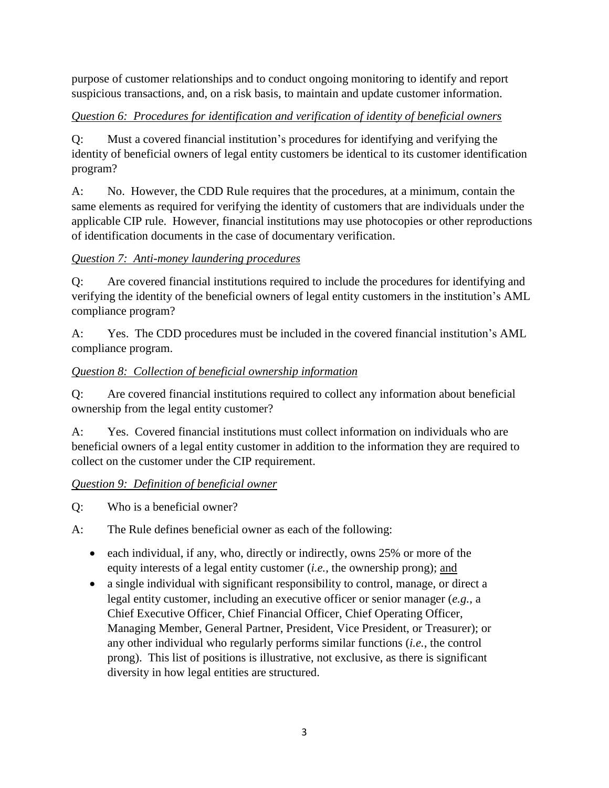purpose of customer relationships and to conduct ongoing monitoring to identify and report suspicious transactions, and, on a risk basis, to maintain and update customer information.

#### *Question 6: Procedures for identification and verification of identity of beneficial owners*

Q: Must a covered financial institution's procedures for identifying and verifying the identity of beneficial owners of legal entity customers be identical to its customer identification program?

A: No. However, the CDD Rule requires that the procedures, at a minimum, contain the same elements as required for verifying the identity of customers that are individuals under the applicable CIP rule. However, financial institutions may use photocopies or other reproductions of identification documents in the case of documentary verification.

#### *Question 7: Anti-money laundering procedures*

Q: Are covered financial institutions required to include the procedures for identifying and verifying the identity of the beneficial owners of legal entity customers in the institution's AML compliance program?

A: Yes. The CDD procedures must be included in the covered financial institution's AML compliance program.

#### *Question 8: Collection of beneficial ownership information*

Q: Are covered financial institutions required to collect any information about beneficial ownership from the legal entity customer?

A: Yes. Covered financial institutions must collect information on individuals who are beneficial owners of a legal entity customer in addition to the information they are required to collect on the customer under the CIP requirement.

# *Question 9: Definition of beneficial owner*

Q: Who is a beneficial owner?

A: The Rule defines beneficial owner as each of the following:

- each individual, if any, who, directly or indirectly, owns 25% or more of the equity interests of a legal entity customer (*i.e.*, the ownership prong); and
- a single individual with significant responsibility to control, manage, or direct a legal entity customer, including an executive officer or senior manager (*e.g.*, a Chief Executive Officer, Chief Financial Officer, Chief Operating Officer, Managing Member, General Partner, President, Vice President, or Treasurer); or any other individual who regularly performs similar functions (*i.e.*, the control prong). This list of positions is illustrative, not exclusive, as there is significant diversity in how legal entities are structured.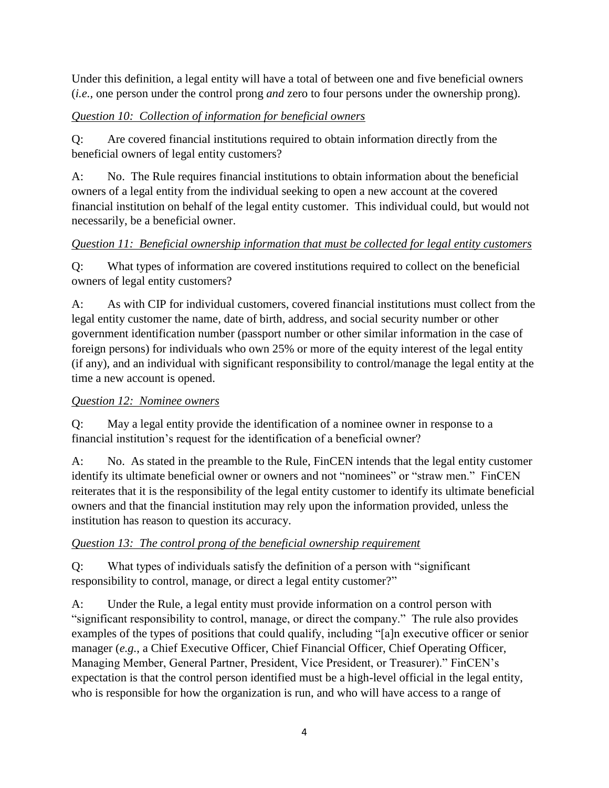Under this definition, a legal entity will have a total of between one and five beneficial owners (*i.e.,* one person under the control prong *and* zero to four persons under the ownership prong).

# *Question 10: Collection of information for beneficial owners*

Q: Are covered financial institutions required to obtain information directly from the beneficial owners of legal entity customers?

A: No. The Rule requires financial institutions to obtain information about the beneficial owners of a legal entity from the individual seeking to open a new account at the covered financial institution on behalf of the legal entity customer. This individual could, but would not necessarily, be a beneficial owner.

# *Question 11: Beneficial ownership information that must be collected for legal entity customers*

Q: What types of information are covered institutions required to collect on the beneficial owners of legal entity customers?

A: As with CIP for individual customers, covered financial institutions must collect from the legal entity customer the name, date of birth, address, and social security number or other government identification number (passport number or other similar information in the case of foreign persons) for individuals who own 25% or more of the equity interest of the legal entity (if any), and an individual with significant responsibility to control/manage the legal entity at the time a new account is opened.

#### *Question 12: Nominee owners*

Q: May a legal entity provide the identification of a nominee owner in response to a financial institution's request for the identification of a beneficial owner?

A: No. As stated in the preamble to the Rule, FinCEN intends that the legal entity customer identify its ultimate beneficial owner or owners and not "nominees" or "straw men." FinCEN reiterates that it is the responsibility of the legal entity customer to identify its ultimate beneficial owners and that the financial institution may rely upon the information provided, unless the institution has reason to question its accuracy.

# *Question 13: The control prong of the beneficial ownership requirement*

Q: What types of individuals satisfy the definition of a person with "significant responsibility to control, manage, or direct a legal entity customer?"

A: Under the Rule, a legal entity must provide information on a control person with "significant responsibility to control, manage, or direct the company." The rule also provides examples of the types of positions that could qualify, including "[a]n executive officer or senior manager (*e.g.*, a Chief Executive Officer, Chief Financial Officer, Chief Operating Officer, Managing Member, General Partner, President, Vice President, or Treasurer)." FinCEN's expectation is that the control person identified must be a high-level official in the legal entity, who is responsible for how the organization is run, and who will have access to a range of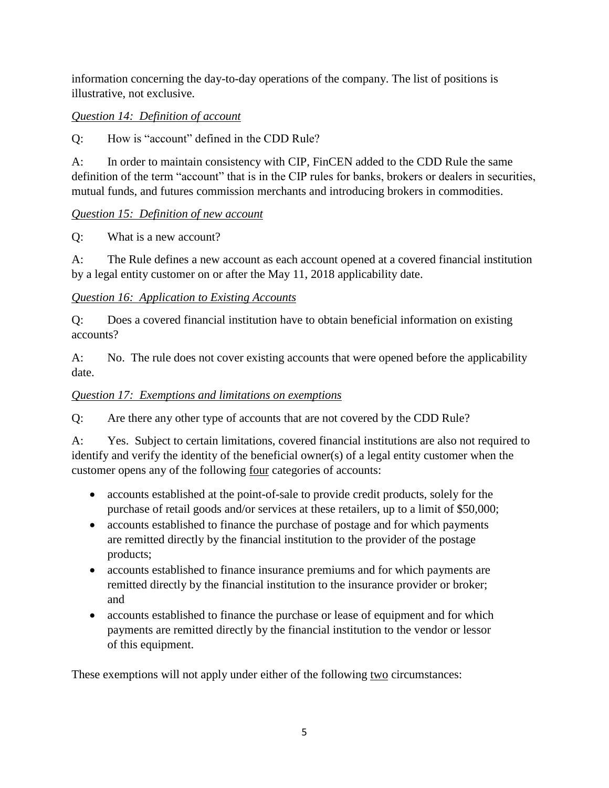information concerning the day-to-day operations of the company. The list of positions is illustrative, not exclusive.

*Question 14: Definition of account*

Q: How is "account" defined in the CDD Rule?

A: In order to maintain consistency with CIP, FinCEN added to the CDD Rule the same definition of the term "account" that is in the CIP rules for banks, brokers or dealers in securities, mutual funds, and futures commission merchants and introducing brokers in commodities.

#### *Question 15: Definition of new account*

Q: What is a new account?

A: The Rule defines a new account as each account opened at a covered financial institution by a legal entity customer on or after the May 11, 2018 applicability date.

# *Question 16: Application to Existing Accounts*

Q: Does a covered financial institution have to obtain beneficial information on existing accounts?

A: No. The rule does not cover existing accounts that were opened before the applicability date.

# *Question 17: Exemptions and limitations on exemptions*

Q: Are there any other type of accounts that are not covered by the CDD Rule?

A: Yes. Subject to certain limitations, covered financial institutions are also not required to identify and verify the identity of the beneficial owner(s) of a legal entity customer when the customer opens any of the following four categories of accounts:

- accounts established at the point-of-sale to provide credit products, solely for the purchase of retail goods and/or services at these retailers, up to a limit of \$50,000;
- accounts established to finance the purchase of postage and for which payments are remitted directly by the financial institution to the provider of the postage products;
- accounts established to finance insurance premiums and for which payments are remitted directly by the financial institution to the insurance provider or broker; and
- accounts established to finance the purchase or lease of equipment and for which payments are remitted directly by the financial institution to the vendor or lessor of this equipment.

These exemptions will not apply under either of the following two circumstances: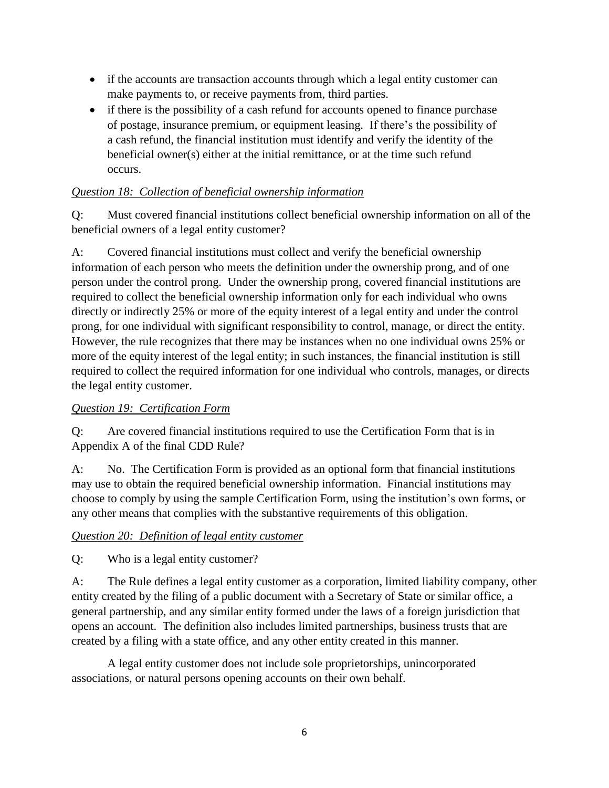- if the accounts are transaction accounts through which a legal entity customer can make payments to, or receive payments from, third parties.
- if there is the possibility of a cash refund for accounts opened to finance purchase of postage, insurance premium, or equipment leasing. If there's the possibility of a cash refund, the financial institution must identify and verify the identity of the beneficial owner(s) either at the initial remittance, or at the time such refund occurs.

#### *Question 18: Collection of beneficial ownership information*

Q: Must covered financial institutions collect beneficial ownership information on all of the beneficial owners of a legal entity customer?

A: Covered financial institutions must collect and verify the beneficial ownership information of each person who meets the definition under the ownership prong, and of one person under the control prong. Under the ownership prong, covered financial institutions are required to collect the beneficial ownership information only for each individual who owns directly or indirectly 25% or more of the equity interest of a legal entity and under the control prong, for one individual with significant responsibility to control, manage, or direct the entity. However, the rule recognizes that there may be instances when no one individual owns 25% or more of the equity interest of the legal entity; in such instances, the financial institution is still required to collect the required information for one individual who controls, manages, or directs the legal entity customer.

#### *Question 19: Certification Form*

Q: Are covered financial institutions required to use the Certification Form that is in Appendix A of the final CDD Rule?

A: No. The Certification Form is provided as an optional form that financial institutions may use to obtain the required beneficial ownership information. Financial institutions may choose to comply by using the sample Certification Form, using the institution's own forms, or any other means that complies with the substantive requirements of this obligation.

#### *Question 20: Definition of legal entity customer*

Q: Who is a legal entity customer?

A: The Rule defines a legal entity customer as a corporation, limited liability company, other entity created by the filing of a public document with a Secretary of State or similar office, a general partnership, and any similar entity formed under the laws of a foreign jurisdiction that opens an account. The definition also includes limited partnerships, business trusts that are created by a filing with a state office, and any other entity created in this manner.

A legal entity customer does not include sole proprietorships, unincorporated associations, or natural persons opening accounts on their own behalf.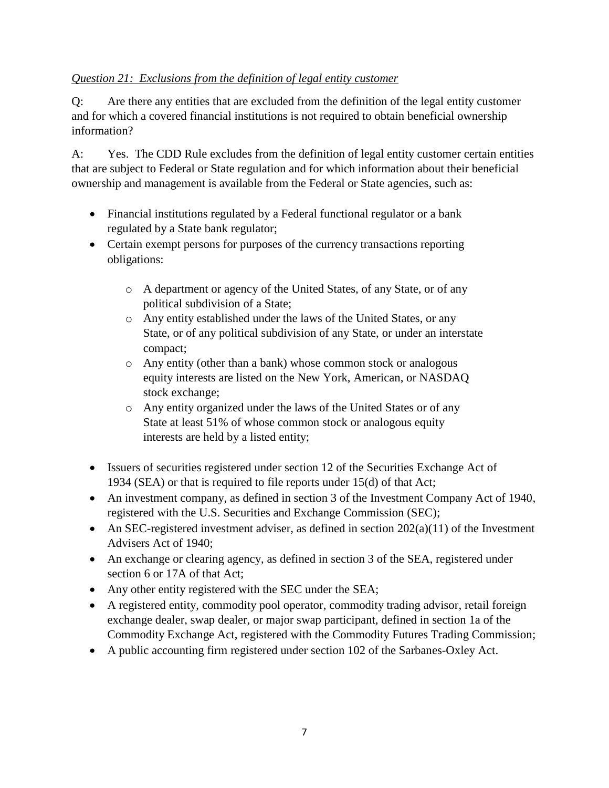#### *Question 21: Exclusions from the definition of legal entity customer*

Q: Are there any entities that are excluded from the definition of the legal entity customer and for which a covered financial institutions is not required to obtain beneficial ownership information?

A: Yes. The CDD Rule excludes from the definition of legal entity customer certain entities that are subject to Federal or State regulation and for which information about their beneficial ownership and management is available from the Federal or State agencies, such as:

- Financial institutions regulated by a Federal functional regulator or a bank regulated by a State bank regulator;
- Certain exempt persons for purposes of the currency transactions reporting obligations:
	- o A department or agency of the United States, of any State, or of any political subdivision of a State;
	- o Any entity established under the laws of the United States, or any State, or of any political subdivision of any State, or under an interstate compact;
	- o Any entity (other than a bank) whose common stock or analogous equity interests are listed on the New York, American, or NASDAQ stock exchange;
	- o Any entity organized under the laws of the United States or of any State at least 51% of whose common stock or analogous equity interests are held by a listed entity;
- Issuers of securities registered under section 12 of the Securities Exchange Act of 1934 (SEA) or that is required to file reports under 15(d) of that Act;
- An investment company, as defined in section 3 of the Investment Company Act of 1940, registered with the U.S. Securities and Exchange Commission (SEC);
- An SEC-registered investment adviser, as defined in section  $202(a)(11)$  of the Investment Advisers Act of 1940;
- An exchange or clearing agency, as defined in section 3 of the SEA, registered under section 6 or 17A of that Act;
- Any other entity registered with the SEC under the SEA;
- A registered entity, commodity pool operator, commodity trading advisor, retail foreign exchange dealer, swap dealer, or major swap participant, defined in section 1a of the Commodity Exchange Act, registered with the Commodity Futures Trading Commission;
- A public accounting firm registered under section 102 of the Sarbanes-Oxley Act.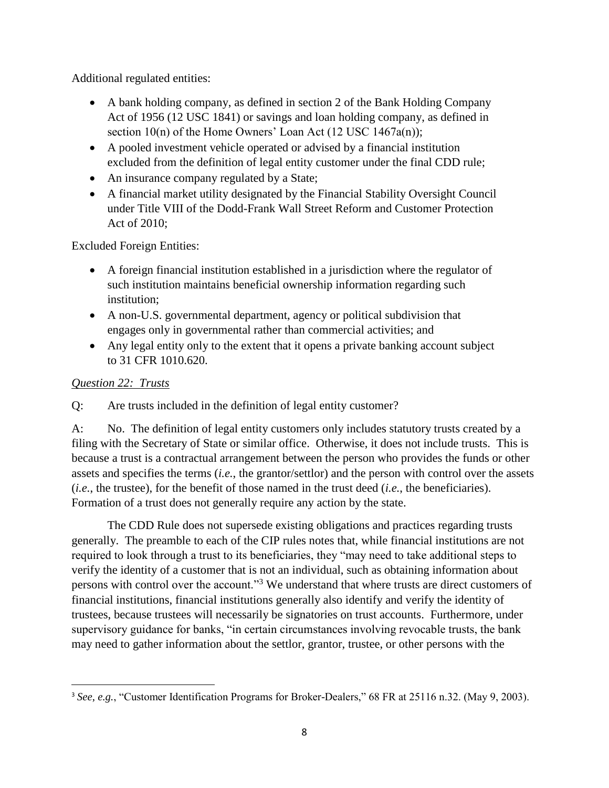Additional regulated entities:

- A bank holding company, as defined in section 2 of the Bank Holding Company Act of 1956 (12 USC 1841) or savings and loan holding company, as defined in section 10(n) of the Home Owners' Loan Act (12 USC 1467a(n));
- A pooled investment vehicle operated or advised by a financial institution excluded from the definition of legal entity customer under the final CDD rule;
- An insurance company regulated by a State;
- A financial market utility designated by the Financial Stability Oversight Council under Title VIII of the Dodd-Frank Wall Street Reform and Customer Protection Act of 2010;

Excluded Foreign Entities:

- A foreign financial institution established in a jurisdiction where the regulator of such institution maintains beneficial ownership information regarding such institution;
- A non-U.S. governmental department, agency or political subdivision that engages only in governmental rather than commercial activities; and
- Any legal entity only to the extent that it opens a private banking account subject to 31 CFR 1010.620.

#### *Question 22: Trusts*

 $\overline{\phantom{a}}$ 

Q: Are trusts included in the definition of legal entity customer?

A: No. The definition of legal entity customers only includes statutory trusts created by a filing with the Secretary of State or similar office. Otherwise, it does not include trusts. This is because a trust is a contractual arrangement between the person who provides the funds or other assets and specifies the terms (*i.e.*, the grantor/settlor) and the person with control over the assets (*i.e.*, the trustee), for the benefit of those named in the trust deed (*i.e.*, the beneficiaries). Formation of a trust does not generally require any action by the state.

The CDD Rule does not supersede existing obligations and practices regarding trusts generally. The preamble to each of the CIP rules notes that, while financial institutions are not required to look through a trust to its beneficiaries, they "may need to take additional steps to verify the identity of a customer that is not an individual, such as obtaining information about persons with control over the account."<sup>3</sup> We understand that where trusts are direct customers of financial institutions, financial institutions generally also identify and verify the identity of trustees, because trustees will necessarily be signatories on trust accounts. Furthermore, under supervisory guidance for banks, "in certain circumstances involving revocable trusts, the bank may need to gather information about the settlor, grantor, trustee, or other persons with the

<sup>3</sup> *See*, *e.g.*, "Customer Identification Programs for Broker-Dealers," 68 FR at 25116 n.32. (May 9, 2003).